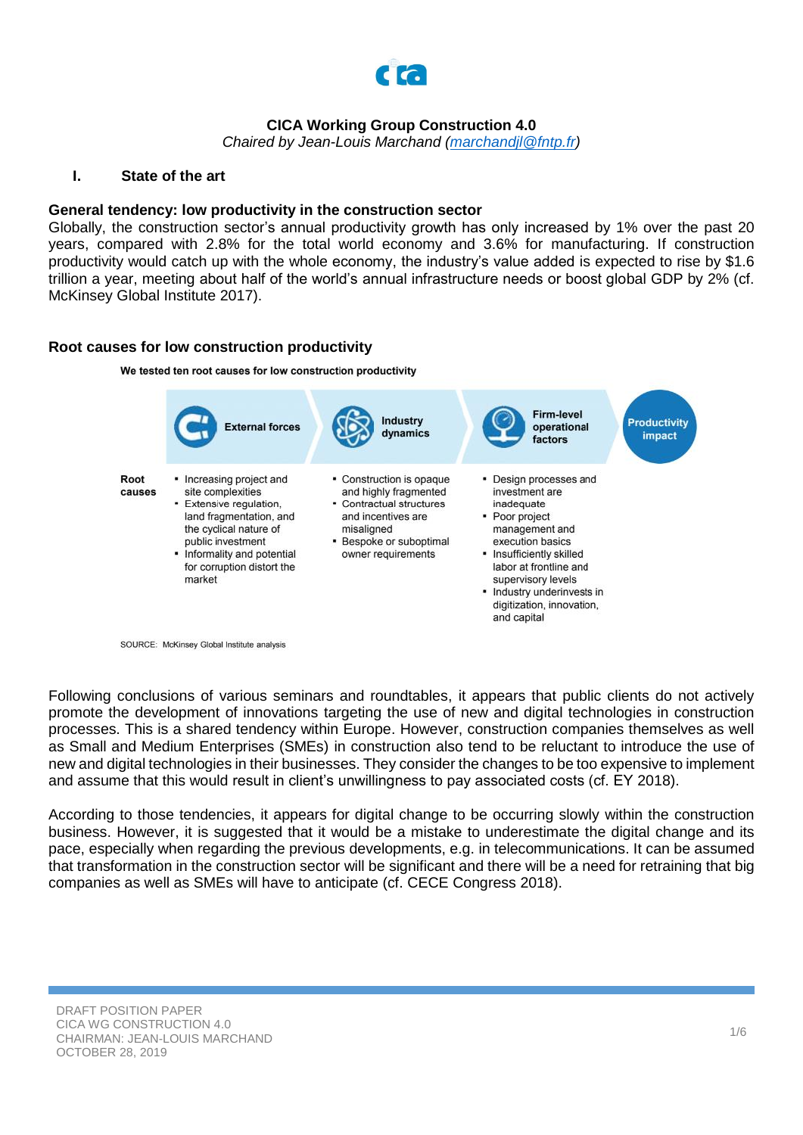

## **CICA Working Group Construction 4.0**

*Chaired by Jean-Louis Marchand [\(marchandjl@fntp.fr\)](mailto:marchandjl@fntp.fr)*

#### **I. State of the art**

#### **General tendency: low productivity in the construction sector**

Globally, the construction sector's annual productivity growth has only increased by 1% over the past 20 years, compared with 2.8% for the total world economy and 3.6% for manufacturing. If construction productivity would catch up with the whole economy, the industry's value added is expected to rise by \$1.6 trillion a year, meeting about half of the world's annual infrastructure needs or boost global GDP by 2% (cf. McKinsey Global Institute 2017).

### **Root causes for low construction productivity**

We tested ten root causes for low construction productivity



SOURCE: McKinsey Global Institute analysis

Following conclusions of various seminars and roundtables, it appears that public clients do not actively promote the development of innovations targeting the use of new and digital technologies in construction processes. This is a shared tendency within Europe. However, construction companies themselves as well as Small and Medium Enterprises (SMEs) in construction also tend to be reluctant to introduce the use of new and digital technologies in their businesses. They consider the changes to be too expensive to implement and assume that this would result in client's unwillingness to pay associated costs (cf. EY 2018).

According to those tendencies, it appears for digital change to be occurring slowly within the construction business. However, it is suggested that it would be a mistake to underestimate the digital change and its pace, especially when regarding the previous developments, e.g. in telecommunications. It can be assumed that transformation in the construction sector will be significant and there will be a need for retraining that big companies as well as SMEs will have to anticipate (cf. CECE Congress 2018).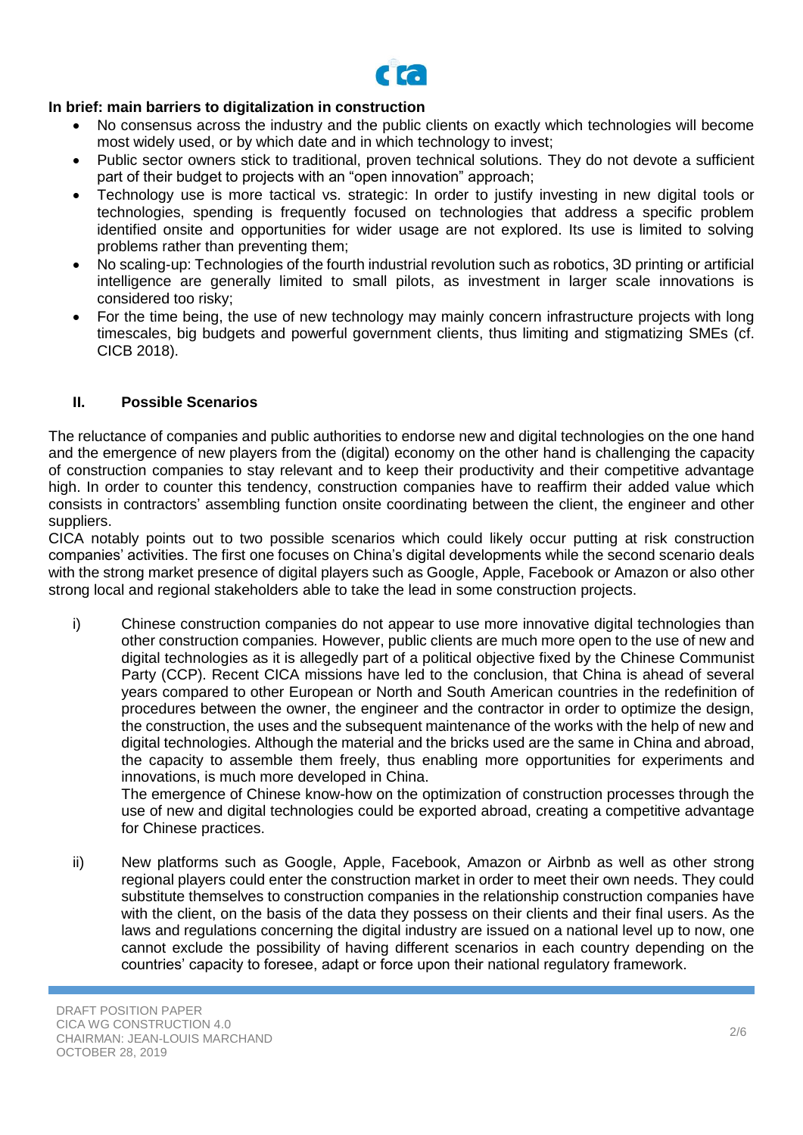

# **In brief: main barriers to digitalization in construction**

- No consensus across the industry and the public clients on exactly which technologies will become most widely used, or by which date and in which technology to invest;
- Public sector owners stick to traditional, proven technical solutions. They do not devote a sufficient part of their budget to projects with an "open innovation" approach;
- Technology use is more tactical vs. strategic: In order to justify investing in new digital tools or technologies, spending is frequently focused on technologies that address a specific problem identified onsite and opportunities for wider usage are not explored. Its use is limited to solving problems rather than preventing them;
- No scaling-up: Technologies of the fourth industrial revolution such as robotics, 3D printing or artificial intelligence are generally limited to small pilots, as investment in larger scale innovations is considered too risky;
- For the time being, the use of new technology may mainly concern infrastructure projects with long timescales, big budgets and powerful government clients, thus limiting and stigmatizing SMEs (cf. CICB 2018).

## **II. Possible Scenarios**

The reluctance of companies and public authorities to endorse new and digital technologies on the one hand and the emergence of new players from the (digital) economy on the other hand is challenging the capacity of construction companies to stay relevant and to keep their productivity and their competitive advantage high. In order to counter this tendency, construction companies have to reaffirm their added value which consists in contractors' assembling function onsite coordinating between the client, the engineer and other suppliers.

CICA notably points out to two possible scenarios which could likely occur putting at risk construction companies' activities. The first one focuses on China's digital developments while the second scenario deals with the strong market presence of digital players such as Google, Apple, Facebook or Amazon or also other strong local and regional stakeholders able to take the lead in some construction projects.

i) Chinese construction companies do not appear to use more innovative digital technologies than other construction companies*.* However, public clients are much more open to the use of new and digital technologies as it is allegedly part of a political objective fixed by the Chinese Communist Party (CCP). Recent CICA missions have led to the conclusion, that China is ahead of several years compared to other European or North and South American countries in the redefinition of procedures between the owner, the engineer and the contractor in order to optimize the design, the construction, the uses and the subsequent maintenance of the works with the help of new and digital technologies. Although the material and the bricks used are the same in China and abroad, the capacity to assemble them freely, thus enabling more opportunities for experiments and innovations, is much more developed in China.

The emergence of Chinese know-how on the optimization of construction processes through the use of new and digital technologies could be exported abroad, creating a competitive advantage for Chinese practices.

ii) New platforms such as Google, Apple, Facebook, Amazon or Airbnb as well as other strong regional players could enter the construction market in order to meet their own needs. They could substitute themselves to construction companies in the relationship construction companies have with the client, on the basis of the data they possess on their clients and their final users. As the laws and regulations concerning the digital industry are issued on a national level up to now, one cannot exclude the possibility of having different scenarios in each country depending on the countries' capacity to foresee, adapt or force upon their national regulatory framework.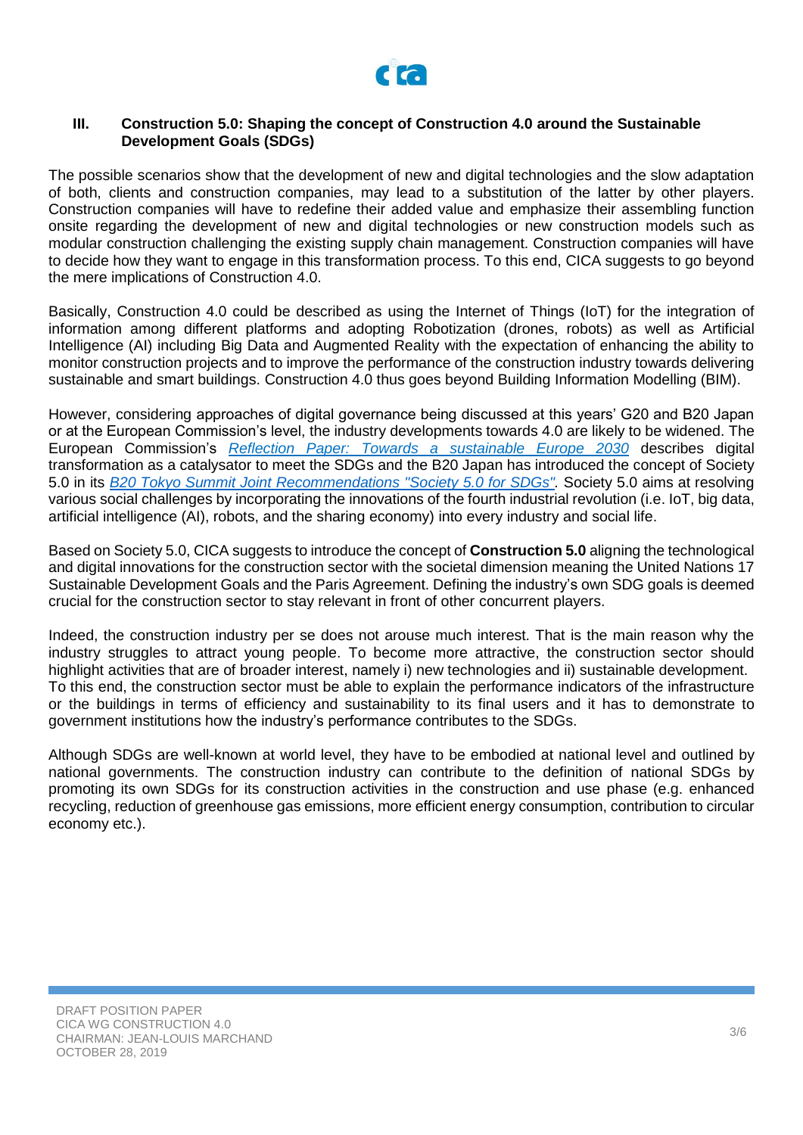

### **III. Construction 5.0: Shaping the concept of Construction 4.0 around the Sustainable Development Goals (SDGs)**

The possible scenarios show that the development of new and digital technologies and the slow adaptation of both, clients and construction companies, may lead to a substitution of the latter by other players. Construction companies will have to redefine their added value and emphasize their assembling function onsite regarding the development of new and digital technologies or new construction models such as modular construction challenging the existing supply chain management. Construction companies will have to decide how they want to engage in this transformation process. To this end, CICA suggests to go beyond the mere implications of Construction 4.0.

Basically, Construction 4.0 could be described as using the Internet of Things (IoT) for the integration of information among different platforms and adopting Robotization (drones, robots) as well as Artificial Intelligence (AI) including Big Data and Augmented Reality with the expectation of enhancing the ability to monitor construction projects and to improve the performance of the construction industry towards delivering sustainable and smart buildings. Construction 4.0 thus goes beyond Building Information Modelling (BIM).

However, considering approaches of digital governance being discussed at this years' G20 and B20 Japan or at the European Commission's level, the industry developments towards 4.0 are likely to be widened. The European Commission's *[Reflection Paper: Towards a sustainable Europe 2030](file://///fntp.fr/fntp/doc$/a.schafer/Documents/Working%20groups/Construction%204.0/2019-01-30_EC_Reflexion%20Paper_sustainable_europe_COM(2019)22.pdf)* describes digital transformation as a catalysator to meet the SDGs and the B20 Japan has introduced the concept of Society 5.0 in its *[B20 Tokyo Summit Joint Recommendations "Society 5.0 for SDGs".](file://///fntp.fr/fntp/Doc$/a.schafer/Documents/Veille/B20%20Tokyo_Recommendations.pdf)* Society 5.0 aims at resolving various social challenges by incorporating the innovations of the fourth industrial revolution (i.e. IoT, big data, artificial intelligence (AI), robots, and the sharing economy) into every industry and social life.

Based on Society 5.0, CICA suggests to introduce the concept of **Construction 5.0** aligning the technological and digital innovations for the construction sector with the societal dimension meaning the United Nations 17 Sustainable Development Goals and the Paris Agreement. Defining the industry's own SDG goals is deemed crucial for the construction sector to stay relevant in front of other concurrent players.

Indeed, the construction industry per se does not arouse much interest. That is the main reason why the industry struggles to attract young people. To become more attractive, the construction sector should highlight activities that are of broader interest, namely i) new technologies and ii) sustainable development. To this end, the construction sector must be able to explain the performance indicators of the infrastructure or the buildings in terms of efficiency and sustainability to its final users and it has to demonstrate to government institutions how the industry's performance contributes to the SDGs.

Although SDGs are well-known at world level, they have to be embodied at national level and outlined by national governments. The construction industry can contribute to the definition of national SDGs by promoting its own SDGs for its construction activities in the construction and use phase (e.g. enhanced recycling, reduction of greenhouse gas emissions, more efficient energy consumption, contribution to circular economy etc.).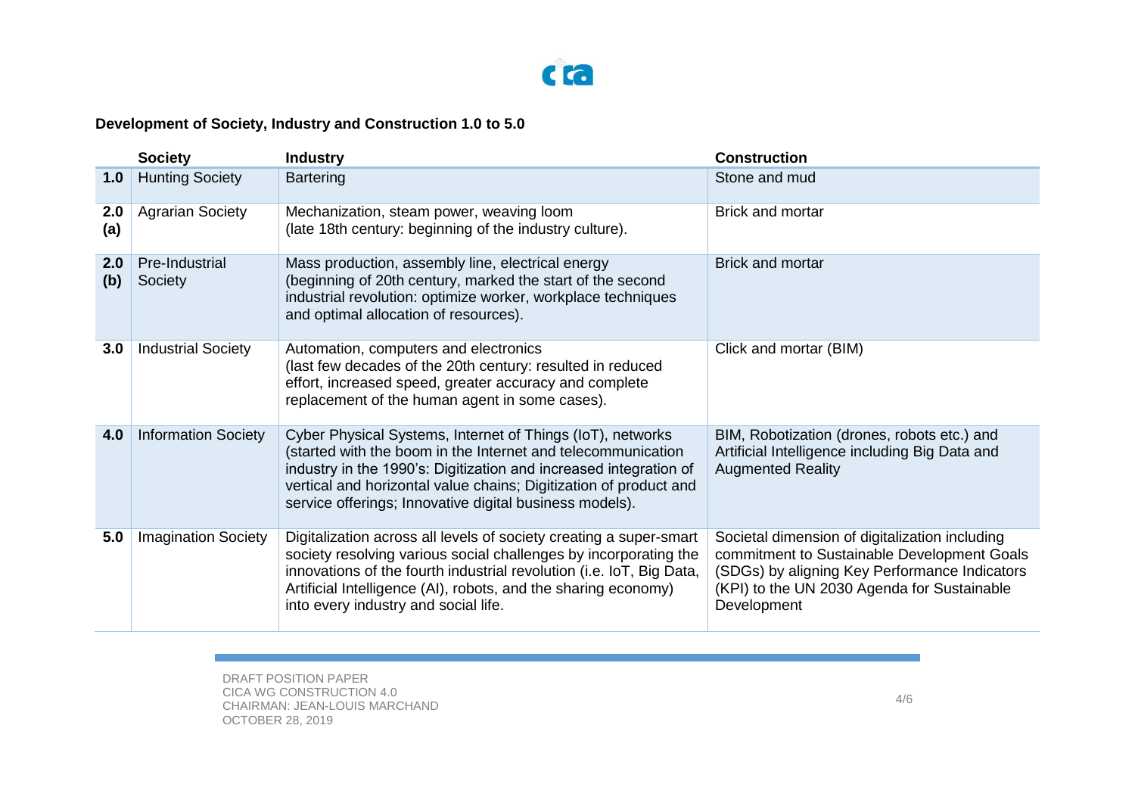

# **Development of Society, Industry and Construction 1.0 to 5.0**

|            | <b>Society</b>             | <b>Industry</b>                                                                                                                                                                                                                                                                                                                 | <b>Construction</b>                                                                                                                                                                                          |
|------------|----------------------------|---------------------------------------------------------------------------------------------------------------------------------------------------------------------------------------------------------------------------------------------------------------------------------------------------------------------------------|--------------------------------------------------------------------------------------------------------------------------------------------------------------------------------------------------------------|
| 1.0        | <b>Hunting Society</b>     | <b>Bartering</b>                                                                                                                                                                                                                                                                                                                | Stone and mud                                                                                                                                                                                                |
| 2.0<br>(a) | <b>Agrarian Society</b>    | Mechanization, steam power, weaving loom<br>(late 18th century: beginning of the industry culture).                                                                                                                                                                                                                             | <b>Brick and mortar</b>                                                                                                                                                                                      |
| 2.0<br>(b) | Pre-Industrial<br>Society  | Mass production, assembly line, electrical energy<br>(beginning of 20th century, marked the start of the second<br>industrial revolution: optimize worker, workplace techniques<br>and optimal allocation of resources).                                                                                                        | <b>Brick and mortar</b>                                                                                                                                                                                      |
| 3.0        | <b>Industrial Society</b>  | Automation, computers and electronics<br>(last few decades of the 20th century: resulted in reduced<br>effort, increased speed, greater accuracy and complete<br>replacement of the human agent in some cases).                                                                                                                 | Click and mortar (BIM)                                                                                                                                                                                       |
| 4.0        | <b>Information Society</b> | Cyber Physical Systems, Internet of Things (IoT), networks<br>(started with the boom in the Internet and telecommunication<br>industry in the 1990's: Digitization and increased integration of<br>vertical and horizontal value chains; Digitization of product and<br>service offerings; Innovative digital business models). | BIM, Robotization (drones, robots etc.) and<br>Artificial Intelligence including Big Data and<br><b>Augmented Reality</b>                                                                                    |
| 5.0        | <b>Imagination Society</b> | Digitalization across all levels of society creating a super-smart<br>society resolving various social challenges by incorporating the<br>innovations of the fourth industrial revolution (i.e. IoT, Big Data,<br>Artificial Intelligence (AI), robots, and the sharing economy)<br>into every industry and social life.        | Societal dimension of digitalization including<br>commitment to Sustainable Development Goals<br>(SDGs) by aligning Key Performance Indicators<br>(KPI) to the UN 2030 Agenda for Sustainable<br>Development |

DRAFT POSITION PAPER CICA WG CONSTRUCTION 4.0 CHAIRMAN: JEAN-LOUIS MARCHAND OCTOBER 28, 2019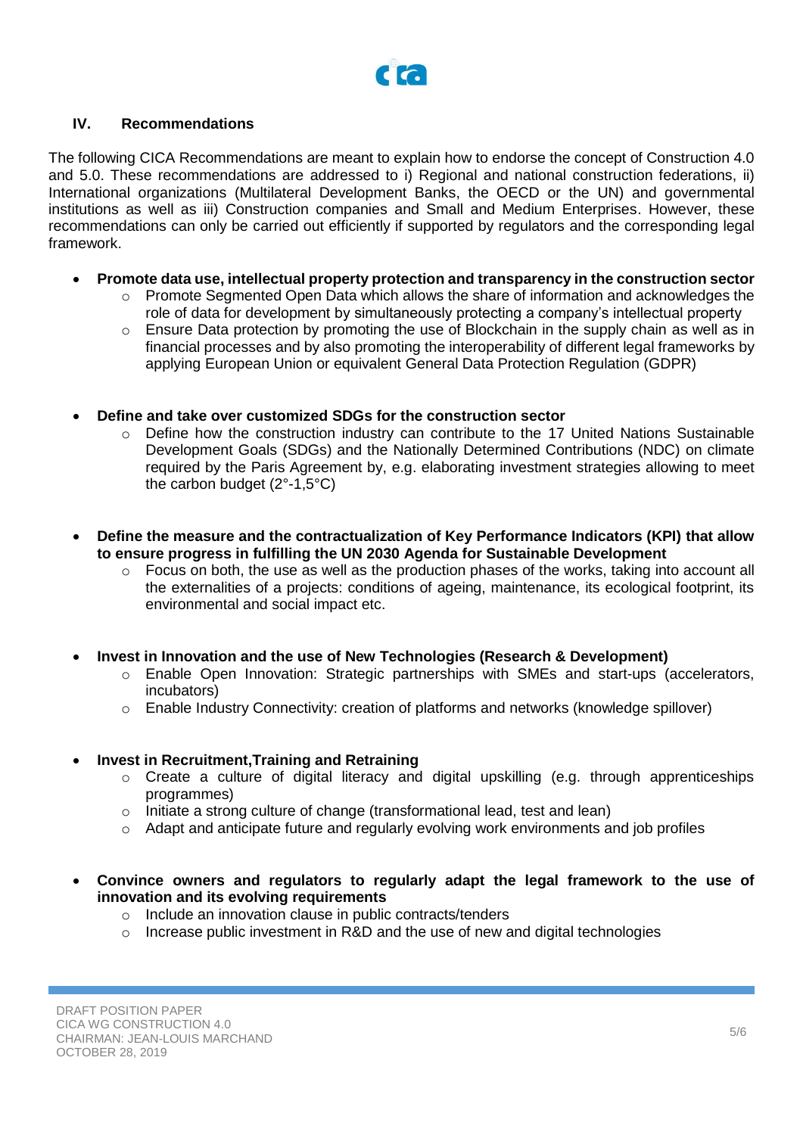

## **IV. Recommendations**

The following CICA Recommendations are meant to explain how to endorse the concept of Construction 4.0 and 5.0. These recommendations are addressed to i) Regional and national construction federations, ii) International organizations (Multilateral Development Banks, the OECD or the UN) and governmental institutions as well as iii) Construction companies and Small and Medium Enterprises. However, these recommendations can only be carried out efficiently if supported by regulators and the corresponding legal framework.

- **Promote data use, intellectual property protection and transparency in the construction sector**
	- $\circ$  Promote Segmented Open Data which allows the share of information and acknowledges the role of data for development by simultaneously protecting a company's intellectual property
	- $\circ$  Ensure Data protection by promoting the use of Blockchain in the supply chain as well as in financial processes and by also promoting the interoperability of different legal frameworks by applying European Union or equivalent General Data Protection Regulation (GDPR)
- **Define and take over customized SDGs for the construction sector**
	- o Define how the construction industry can contribute to the 17 United Nations Sustainable Development Goals (SDGs) and the Nationally Determined Contributions (NDC) on climate required by the Paris Agreement by, e.g. elaborating investment strategies allowing to meet the carbon budget (2°-1,5°C)
- **Define the measure and the contractualization of Key Performance Indicators (KPI) that allow to ensure progress in fulfilling the UN 2030 Agenda for Sustainable Development**
	- $\circ$  Focus on both, the use as well as the production phases of the works, taking into account all the externalities of a projects: conditions of ageing, maintenance, its ecological footprint, its environmental and social impact etc.
- **Invest in Innovation and the use of New Technologies (Research & Development)**
	- o Enable Open Innovation: Strategic partnerships with SMEs and start-ups (accelerators, incubators)
	- o Enable Industry Connectivity: creation of platforms and networks (knowledge spillover)

#### • **Invest in Recruitment,Training and Retraining**

- o Create a culture of digital literacy and digital upskilling (e.g. through apprenticeships programmes)
- o Initiate a strong culture of change (transformational lead, test and lean)
- o Adapt and anticipate future and regularly evolving work environments and job profiles
- **Convince owners and regulators to regularly adapt the legal framework to the use of innovation and its evolving requirements**
	- o Include an innovation clause in public contracts/tenders
	- $\circ$  Increase public investment in R&D and the use of new and digital technologies